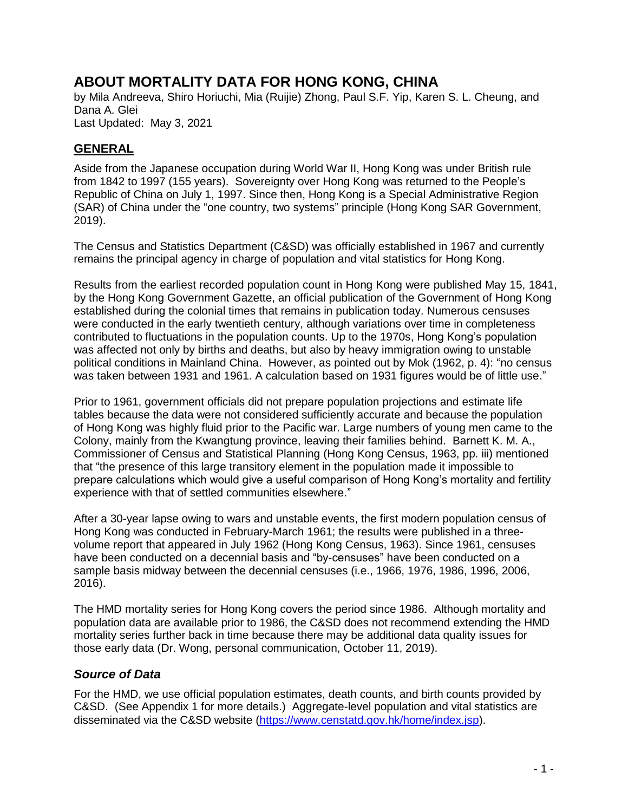# **ABOUT MORTALITY DATA FOR HONG KONG, CHINA**

by Mila Andreeva, Shiro Horiuchi, Mia (Ruijie) Zhong, Paul S.F. Yip, Karen S. L. Cheung, and Dana A. Glei Last Updated: May 3, 2021

### **GENERAL**

Aside from the Japanese occupation during World War II, Hong Kong was under British rule from 1842 to 1997 (155 years). Sovereignty over Hong Kong was returned to the People's Republic of China on July 1, 1997. Since then, Hong Kong is a Special Administrative Region (SAR) of China under the "one country, two systems" principle (Hong Kong SAR Government, 2019).

The Census and Statistics Department (C&SD) was officially established in 1967 and currently remains the principal agency in charge of population and vital statistics for Hong Kong.

Results from the earliest recorded population count in Hong Kong were published May 15, 1841, by the Hong Kong Government Gazette, an official publication of the Government of Hong Kong established during the colonial times that remains in publication today. Numerous censuses were conducted in the early twentieth century, although variations over time in completeness contributed to fluctuations in the population counts. Up to the 1970s, Hong Kong's population was affected not only by births and deaths, but also by heavy immigration owing to unstable political conditions in Mainland China. However, as pointed out by Mok (1962, p. 4): "no census was taken between 1931 and 1961. A calculation based on 1931 figures would be of little use."

Prior to 1961, government officials did not prepare population projections and estimate life tables because the data were not considered sufficiently accurate and because the population of Hong Kong was highly fluid prior to the Pacific war. Large numbers of young men came to the Colony, mainly from the Kwangtung province, leaving their families behind. Barnett K. M. A., Commissioner of Census and Statistical Planning (Hong Kong Census, 1963, pp. iii) mentioned that "the presence of this large transitory element in the population made it impossible to prepare calculations which would give a useful comparison of Hong Kong's mortality and fertility experience with that of settled communities elsewhere."

After a 30-year lapse owing to wars and unstable events, the first modern population census of Hong Kong was conducted in February-March 1961; the results were published in a threevolume report that appeared in July 1962 (Hong Kong Census, 1963). Since 1961, censuses have been conducted on a decennial basis and "by-censuses" have been conducted on a sample basis midway between the decennial censuses (i.e., 1966, 1976, 1986, 1996, 2006, 2016).

The HMD mortality series for Hong Kong covers the period since 1986. Although mortality and population data are available prior to 1986, the C&SD does not recommend extending the HMD mortality series further back in time because there may be additional data quality issues for those early data (Dr. Wong, personal communication, October 11, 2019).

#### *Source of Data*

For the HMD, we use official population estimates, death counts, and birth counts provided by C&SD. (See Appendix 1 for more details.) Aggregate-level population and vital statistics are disseminated via the C&SD website [\(https://www.censtatd.gov.hk/home/index.jsp\)](https://www.censtatd.gov.hk/home/index.jsp).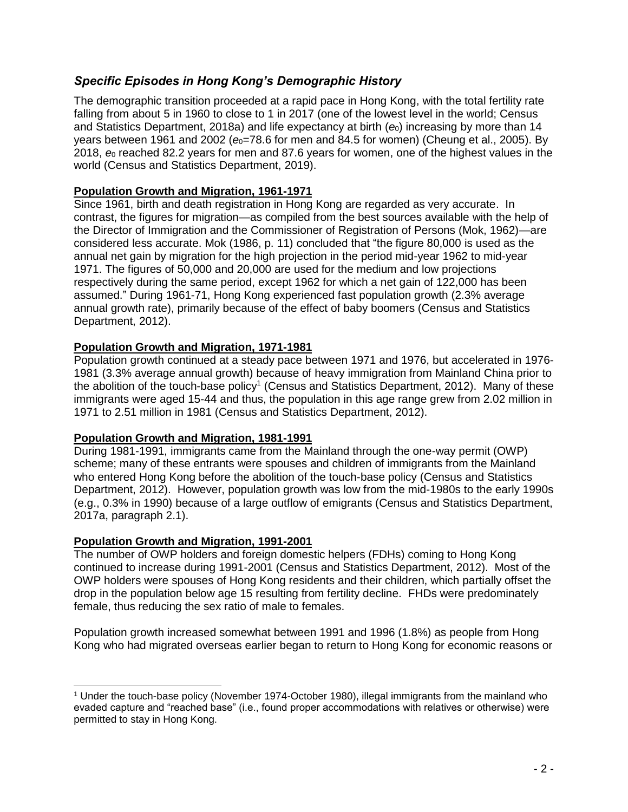## *Specific Episodes in Hong Kong's Demographic History*

The demographic transition proceeded at a rapid pace in Hong Kong, with the total fertility rate falling from about 5 in 1960 to close to 1 in 2017 (one of the lowest level in the world; Census and Statistics Department, 2018a) and life expectancy at birth ( $e_0$ ) increasing by more than 14 years between 1961 and 2002 ( $e_0$ =78.6 for men and 84.5 for women) (Cheung et al., 2005). By 2018, *e*<sup>0</sup> reached 82.2 years for men and 87.6 years for women, one of the highest values in the world (Census and Statistics Department, 2019).

#### **Population Growth and Migration, 1961-1971**

Since 1961, birth and death registration in Hong Kong are regarded as very accurate. In contrast, the figures for migration—as compiled from the best sources available with the help of the Director of Immigration and the Commissioner of Registration of Persons (Mok, 1962)—are considered less accurate. Mok (1986, p. 11) concluded that "the figure 80,000 is used as the annual net gain by migration for the high projection in the period mid-year 1962 to mid-year 1971. The figures of 50,000 and 20,000 are used for the medium and low projections respectively during the same period, except 1962 for which a net gain of 122,000 has been assumed." During 1961-71, Hong Kong experienced fast population growth (2.3% average annual growth rate), primarily because of the effect of baby boomers (Census and Statistics Department, 2012).

#### **Population Growth and Migration, 1971-1981**

Population growth continued at a steady pace between 1971 and 1976, but accelerated in 1976- 1981 (3.3% average annual growth) because of heavy immigration from Mainland China prior to the abolition of the touch-base policy<sup>1</sup> (Census and Statistics Department, 2012). Many of these immigrants were aged 15-44 and thus, the population in this age range grew from 2.02 million in 1971 to 2.51 million in 1981 (Census and Statistics Department, 2012).

#### **Population Growth and Migration, 1981-1991**

During 1981-1991, immigrants came from the Mainland through the one-way permit (OWP) scheme; many of these entrants were spouses and children of immigrants from the Mainland who entered Hong Kong before the abolition of the touch-base policy (Census and Statistics Department, 2012). However, population growth was low from the mid-1980s to the early 1990s (e.g., 0.3% in 1990) because of a large outflow of emigrants (Census and Statistics Department, 2017a, paragraph 2.1).

#### **Population Growth and Migration, 1991-2001**

The number of OWP holders and foreign domestic helpers (FDHs) coming to Hong Kong continued to increase during 1991-2001 (Census and Statistics Department, 2012). Most of the OWP holders were spouses of Hong Kong residents and their children, which partially offset the drop in the population below age 15 resulting from fertility decline. FHDs were predominately female, thus reducing the sex ratio of male to females.

Population growth increased somewhat between 1991 and 1996 (1.8%) as people from Hong Kong who had migrated overseas earlier began to return to Hong Kong for economic reasons or

<sup>1</sup> Under the touch-base policy (November 1974-October 1980), illegal immigrants from the mainland who evaded capture and "reached base" (i.e., found proper accommodations with relatives or otherwise) were permitted to stay in Hong Kong.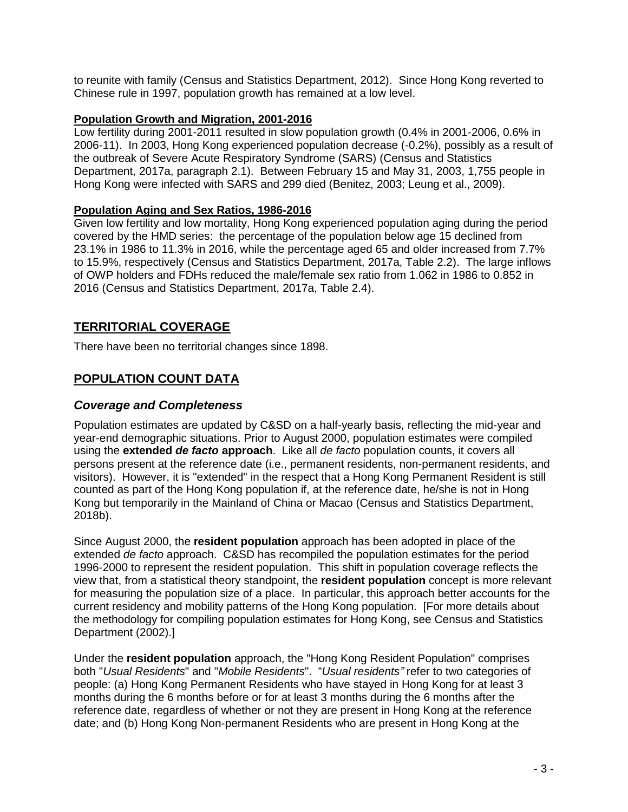to reunite with family (Census and Statistics Department, 2012). Since Hong Kong reverted to Chinese rule in 1997, population growth has remained at a low level.

#### **Population Growth and Migration, 2001-2016**

Low fertility during 2001-2011 resulted in slow population growth (0.4% in 2001-2006, 0.6% in 2006-11). In 2003, Hong Kong experienced population decrease (-0.2%), possibly as a result of the outbreak of Severe Acute Respiratory Syndrome (SARS) (Census and Statistics Department, 2017a, paragraph 2.1). Between February 15 and May 31, 2003, 1,755 people in Hong Kong were infected with SARS and 299 died (Benitez, 2003; Leung et al., 2009).

#### **Population Aging and Sex Ratios, 1986-2016**

Given low fertility and low mortality, Hong Kong experienced population aging during the period covered by the HMD series: the percentage of the population below age 15 declined from 23.1% in 1986 to 11.3% in 2016, while the percentage aged 65 and older increased from 7.7% to 15.9%, respectively (Census and Statistics Department, 2017a, Table 2.2). The large inflows of OWP holders and FDHs reduced the male/female sex ratio from 1.062 in 1986 to 0.852 in 2016 (Census and Statistics Department, 2017a, Table 2.4).

### **TERRITORIAL COVERAGE**

There have been no territorial changes since 1898.

## **POPULATION COUNT DATA**

#### *Coverage and Completeness*

Population estimates are updated by C&SD on a half-yearly basis, reflecting the mid-year and year-end demographic situations. Prior to August 2000, population estimates were compiled using the **extended** *de facto* **approach**. Like all *de facto* population counts, it covers all persons present at the reference date (i.e., permanent residents, non-permanent residents, and visitors). However, it is "extended" in the respect that a Hong Kong Permanent Resident is still counted as part of the Hong Kong population if, at the reference date, he/she is not in Hong Kong but temporarily in the Mainland of China or Macao (Census and Statistics Department, 2018b).

Since August 2000, the **resident population** approach has been adopted in place of the extended *de facto* approach. C&SD has recompiled the population estimates for the period 1996-2000 to represent the resident population. This shift in population coverage reflects the view that, from a statistical theory standpoint, the **resident population** concept is more relevant for measuring the population size of a place. In particular, this approach better accounts for the current residency and mobility patterns of the Hong Kong population. [For more details about the methodology for compiling population estimates for Hong Kong, see Census and Statistics Department (2002).]

Under the **resident population** approach, the "Hong Kong Resident Population" comprises both "*Usual Residents*" and "*Mobile Residents*". "*Usual residents"* refer to two categories of people: (a) Hong Kong Permanent Residents who have stayed in Hong Kong for at least 3 months during the 6 months before or for at least 3 months during the 6 months after the reference date, regardless of whether or not they are present in Hong Kong at the reference date; and (b) Hong Kong Non-permanent Residents who are present in Hong Kong at the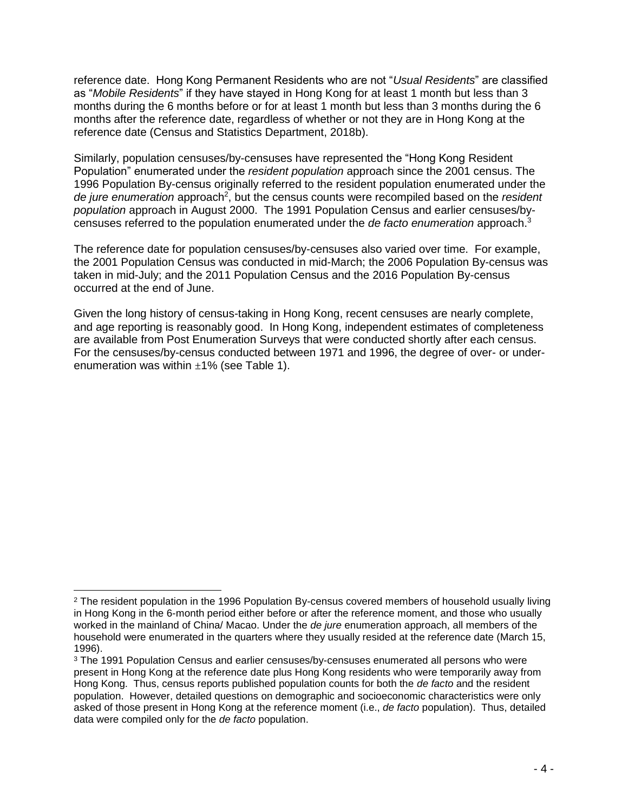reference date. Hong Kong Permanent Residents who are not "*Usual Residents*" are classified as "*Mobile Residents*" if they have stayed in Hong Kong for at least 1 month but less than 3 months during the 6 months before or for at least 1 month but less than 3 months during the 6 months after the reference date, regardless of whether or not they are in Hong Kong at the reference date (Census and Statistics Department, 2018b).

Similarly, population censuses/by-censuses have represented the "Hong Kong Resident Population" enumerated under the *resident population* approach since the 2001 census. The 1996 Population By-census originally referred to the resident population enumerated under the de jure enumeration approach<sup>2</sup>, but the census counts were recompiled based on the *resident population* approach in August 2000. The 1991 Population Census and earlier censuses/bycensuses referred to the population enumerated under the *de facto enumeration* approach. 3

The reference date for population censuses/by-censuses also varied over time. For example, the 2001 Population Census was conducted in mid-March; the 2006 Population By-census was taken in mid-July; and the 2011 Population Census and the 2016 Population By-census occurred at the end of June.

Given the long history of census-taking in Hong Kong, recent censuses are nearly complete, and age reporting is reasonably good. In Hong Kong, independent estimates of completeness are available from Post Enumeration Surveys that were conducted shortly after each census. For the censuses/by-census conducted between 1971 and 1996, the degree of over- or underenumeration was within  $\pm 1\%$  (see Table 1).

 $\overline{a}$ 

<sup>&</sup>lt;sup>2</sup> The resident population in the 1996 Population By-census covered members of household usually living in Hong Kong in the 6-month period either before or after the reference moment, and those who usually worked in the mainland of China/ Macao. Under the *de jure* enumeration approach, all members of the household were enumerated in the quarters where they usually resided at the reference date (March 15, 1996).

<sup>&</sup>lt;sup>3</sup> The 1991 Population Census and earlier censuses/by-censuses enumerated all persons who were present in Hong Kong at the reference date plus Hong Kong residents who were temporarily away from Hong Kong. Thus, census reports published population counts for both the *de facto* and the resident population. However, detailed questions on demographic and socioeconomic characteristics were only asked of those present in Hong Kong at the reference moment (i.e., *de facto* population). Thus, detailed data were compiled only for the *de facto* population.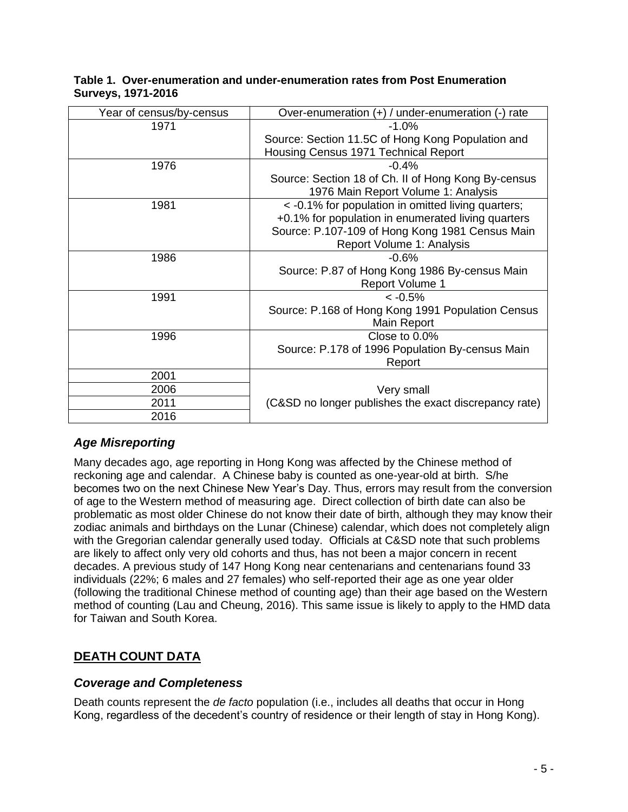| Year of census/by-census | Over-enumeration (+) / under-enumeration (-) rate     |  |  |
|--------------------------|-------------------------------------------------------|--|--|
| 1971                     | $-1.0%$                                               |  |  |
|                          | Source: Section 11.5C of Hong Kong Population and     |  |  |
|                          | Housing Census 1971 Technical Report                  |  |  |
| 1976                     | $-0.4%$                                               |  |  |
|                          | Source: Section 18 of Ch. II of Hong Kong By-census   |  |  |
|                          | 1976 Main Report Volume 1: Analysis                   |  |  |
| 1981                     | < -0.1% for population in omitted living quarters;    |  |  |
|                          | +0.1% for population in enumerated living quarters    |  |  |
|                          | Source: P.107-109 of Hong Kong 1981 Census Main       |  |  |
|                          | Report Volume 1: Analysis                             |  |  |
| 1986                     | $-0.6%$                                               |  |  |
|                          | Source: P.87 of Hong Kong 1986 By-census Main         |  |  |
|                          | <b>Report Volume 1</b>                                |  |  |
| 1991                     | $< -0.5%$                                             |  |  |
|                          | Source: P.168 of Hong Kong 1991 Population Census     |  |  |
|                          | Main Report                                           |  |  |
| 1996                     | Close to 0.0%                                         |  |  |
|                          | Source: P.178 of 1996 Population By-census Main       |  |  |
|                          | Report                                                |  |  |
| 2001                     |                                                       |  |  |
| 2006                     | Very small                                            |  |  |
| 2011                     | (C&SD no longer publishes the exact discrepancy rate) |  |  |
| 2016                     |                                                       |  |  |

#### **Table 1. Over-enumeration and under-enumeration rates from Post Enumeration Surveys, 1971-2016**

## *Age Misreporting*

Many decades ago, age reporting in Hong Kong was affected by the Chinese method of reckoning age and calendar. A Chinese baby is counted as one-year-old at birth. S/he becomes two on the next Chinese New Year's Day. Thus, errors may result from the conversion of age to the Western method of measuring age. Direct collection of birth date can also be problematic as most older Chinese do not know their date of birth, although they may know their zodiac animals and birthdays on the Lunar (Chinese) calendar, which does not completely align with the Gregorian calendar generally used today. Officials at C&SD note that such problems are likely to affect only very old cohorts and thus, has not been a major concern in recent decades. A previous study of 147 Hong Kong near centenarians and centenarians found 33 individuals (22%; 6 males and 27 females) who self-reported their age as one year older (following the traditional Chinese method of counting age) than their age based on the Western method of counting (Lau and Cheung, 2016). This same issue is likely to apply to the HMD data for Taiwan and South Korea.

## **DEATH COUNT DATA**

#### *Coverage and Completeness*

Death counts represent the *de facto* population (i.e., includes all deaths that occur in Hong Kong, regardless of the decedent's country of residence or their length of stay in Hong Kong).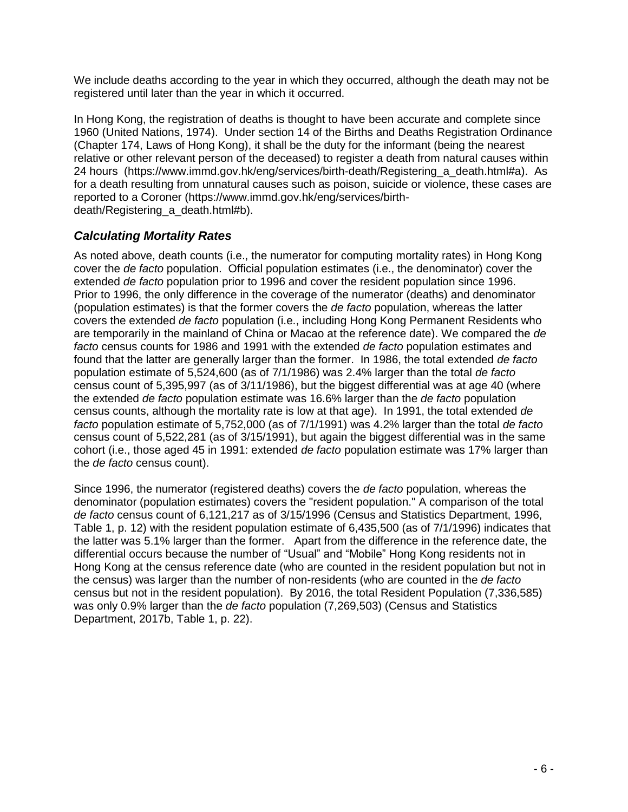We include deaths according to the year in which they occurred, although the death may not be registered until later than the year in which it occurred.

In Hong Kong, the registration of deaths is thought to have been accurate and complete since 1960 (United Nations, 1974). Under section 14 of the Births and Deaths Registration Ordinance (Chapter 174, Laws of Hong Kong), it shall be the duty for the informant (being the nearest relative or other relevant person of the deceased) to register a death from natural causes within 24 hours [\(https://www.immd.gov.hk/eng/services/birth-death/Registering\\_a\\_death.html#a\)](https://www.immd.gov.hk/eng/services/birth-death/Registering_a_death.html#a). As for a death resulting from unnatural causes such as poison, suicide or violence, these cases are reported to a Coroner [\(https://www.immd.gov.hk/eng/services/birth](https://www.immd.gov.hk/eng/services/birth-death/Registering_a_death.html#b)death/Registering a death.html#b).

### *Calculating Mortality Rates*

As noted above, death counts (i.e., the numerator for computing mortality rates) in Hong Kong cover the *de facto* population. Official population estimates (i.e., the denominator) cover the extended *de facto* population prior to 1996 and cover the resident population since 1996. Prior to 1996, the only difference in the coverage of the numerator (deaths) and denominator (population estimates) is that the former covers the *de facto* population, whereas the latter covers the extended *de facto* population (i.e., including Hong Kong Permanent Residents who are temporarily in the mainland of China or Macao at the reference date). We compared the *de facto* census counts for 1986 and 1991 with the extended *de facto* population estimates and found that the latter are generally larger than the former. In 1986, the total extended *de facto* population estimate of 5,524,600 (as of 7/1/1986) was 2.4% larger than the total *de facto* census count of 5,395,997 (as of 3/11/1986), but the biggest differential was at age 40 (where the extended *de facto* population estimate was 16.6% larger than the *de facto* population census counts, although the mortality rate is low at that age). In 1991, the total extended *de facto* population estimate of 5,752,000 (as of 7/1/1991) was 4.2% larger than the total *de facto* census count of 5,522,281 (as of 3/15/1991), but again the biggest differential was in the same cohort (i.e., those aged 45 in 1991: extended *de facto* population estimate was 17% larger than the *de facto* census count).

Since 1996, the numerator (registered deaths) covers the *de facto* population, whereas the denominator (population estimates) covers the "resident population." A comparison of the total *de facto* census count of 6,121,217 as of 3/15/1996 (Census and Statistics Department, 1996, Table 1, p. 12) with the resident population estimate of 6,435,500 (as of 7/1/1996) indicates that the latter was 5.1% larger than the former. Apart from the difference in the reference date, the differential occurs because the number of "Usual" and "Mobile" Hong Kong residents not in Hong Kong at the census reference date (who are counted in the resident population but not in the census) was larger than the number of non-residents (who are counted in the *de facto* census but not in the resident population). By 2016, the total Resident Population (7,336,585) was only 0.9% larger than the *de facto* population (7,269,503) (Census and Statistics Department, 2017b, Table 1, p. 22).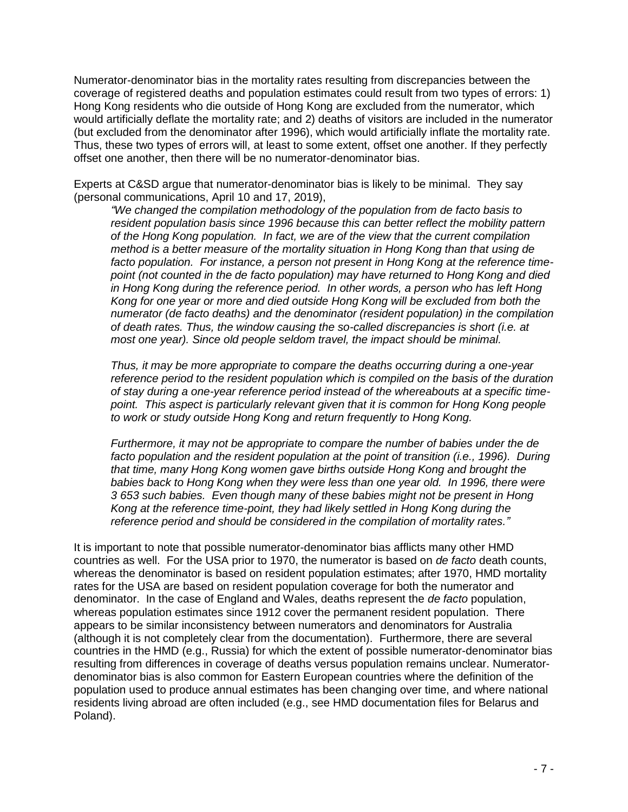Numerator-denominator bias in the mortality rates resulting from discrepancies between the coverage of registered deaths and population estimates could result from two types of errors: 1) Hong Kong residents who die outside of Hong Kong are excluded from the numerator, which would artificially deflate the mortality rate; and 2) deaths of visitors are included in the numerator (but excluded from the denominator after 1996), which would artificially inflate the mortality rate. Thus, these two types of errors will, at least to some extent, offset one another. If they perfectly offset one another, then there will be no numerator-denominator bias.

Experts at C&SD argue that numerator-denominator bias is likely to be minimal. They say (personal communications, April 10 and 17, 2019),

*"We changed the compilation methodology of the population from de facto basis to resident population basis since 1996 because this can better reflect the mobility pattern of the Hong Kong population. In fact, we are of the view that the current compilation method is a better measure of the mortality situation in Hong Kong than that using de facto population. For instance, a person not present in Hong Kong at the reference timepoint (not counted in the de facto population) may have returned to Hong Kong and died*  in Hong Kong during the reference period. In other words, a person who has left Hong *Kong for one year or more and died outside Hong Kong will be excluded from both the numerator (de facto deaths) and the denominator (resident population) in the compilation of death rates. Thus, the window causing the so-called discrepancies is short (i.e. at most one year). Since old people seldom travel, the impact should be minimal.*

*Thus, it may be more appropriate to compare the deaths occurring during a one-year reference period to the resident population which is compiled on the basis of the duration of stay during a one-year reference period instead of the whereabouts at a specific timepoint. This aspect is particularly relevant given that it is common for Hong Kong people to work or study outside Hong Kong and return frequently to Hong Kong.*

*Furthermore, it may not be appropriate to compare the number of babies under the de facto population and the resident population at the point of transition (i.e., 1996). During that time, many Hong Kong women gave births outside Hong Kong and brought the babies back to Hong Kong when they were less than one year old. In 1996, there were 3 653 such babies. Even though many of these babies might not be present in Hong Kong at the reference time-point, they had likely settled in Hong Kong during the reference period and should be considered in the compilation of mortality rates."*

It is important to note that possible numerator-denominator bias afflicts many other HMD countries as well. For the USA prior to 1970, the numerator is based on *de facto* death counts, whereas the denominator is based on resident population estimates; after 1970, HMD mortality rates for the USA are based on resident population coverage for both the numerator and denominator. In the case of England and Wales, deaths represent the *de facto* population, whereas population estimates since 1912 cover the permanent resident population. There appears to be similar inconsistency between numerators and denominators for Australia (although it is not completely clear from the documentation). Furthermore, there are several countries in the HMD (e.g., Russia) for which the extent of possible numerator-denominator bias resulting from differences in coverage of deaths versus population remains unclear. Numeratordenominator bias is also common for Eastern European countries where the definition of the population used to produce annual estimates has been changing over time, and where national residents living abroad are often included (e.g., see HMD documentation files for Belarus and Poland).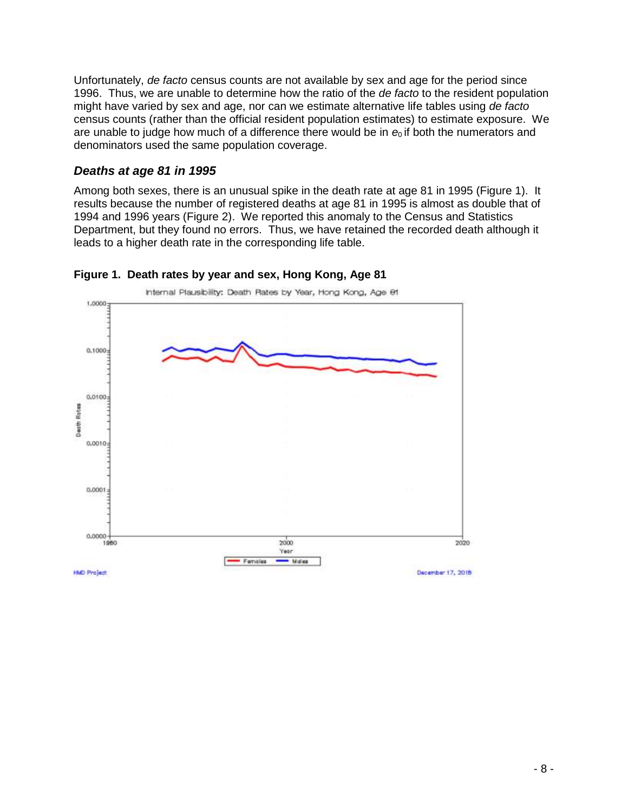Unfortunately, *de facto* census counts are not available by sex and age for the period since 1996. Thus, we are unable to determine how the ratio of the *de facto* to the resident population might have varied by sex and age, nor can we estimate alternative life tables using *de facto* census counts (rather than the official resident population estimates) to estimate exposure. We are unable to judge how much of a difference there would be in  $e_0$  if both the numerators and denominators used the same population coverage.

#### *Deaths at age 81 in 1995*

Among both sexes, there is an unusual spike in the death rate at age 81 in 1995 (Figure 1). It results because the number of registered deaths at age 81 in 1995 is almost as double that of 1994 and 1996 years (Figure 2). We reported this anomaly to the Census and Statistics Department, but they found no errors. Thus, we have retained the recorded death although it leads to a higher death rate in the corresponding life table.



#### **Figure 1. Death rates by year and sex, Hong Kong, Age 81**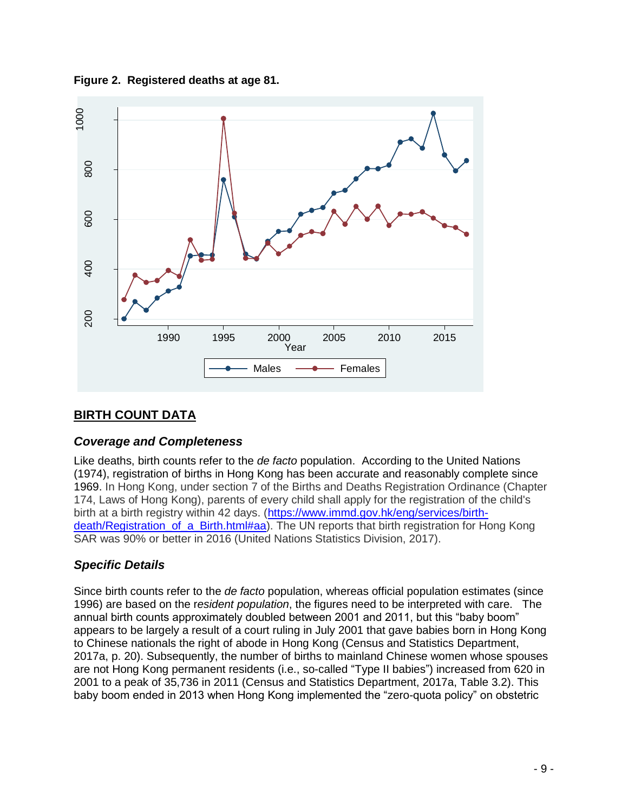



## **BIRTH COUNT DATA**

## *Coverage and Completeness*

Like deaths, birth counts refer to the *de facto* population. According to the United Nations (1974), registration of births in Hong Kong has been accurate and reasonably complete since 1969. In Hong Kong, under section 7 of the Births and Deaths Registration Ordinance (Chapter 174, Laws of Hong Kong), parents of every child shall apply for the registration of the child's birth at a birth registry within 42 days. [\(https://www.immd.gov.hk/eng/services/birth](https://www.immd.gov.hk/eng/services/birth-death/Registration_of_a_Birth.html#aa)death/Registration of a Birth.html#aa). The UN reports that birth registration for Hong Kong SAR was 90% or better in 2016 (United Nations Statistics Division, 2017).

## *Specific Details*

Since birth counts refer to the *de facto* population, whereas official population estimates (since 1996) are based on the r*esident population*, the figures need to be interpreted with care. The annual birth counts approximately doubled between 2001 and 2011, but this "baby boom" appears to be largely a result of a court ruling in July 2001 that gave babies born in Hong Kong to Chinese nationals the right of abode in Hong Kong (Census and Statistics Department, 2017a, p. 20). Subsequently, the number of births to mainland Chinese women whose spouses are not Hong Kong permanent residents (i.e., so-called "Type II babies") increased from 620 in 2001 to a peak of 35,736 in 2011 (Census and Statistics Department, 2017a, Table 3.2). This baby boom ended in 2013 when Hong Kong implemented the "zero-quota policy" on obstetric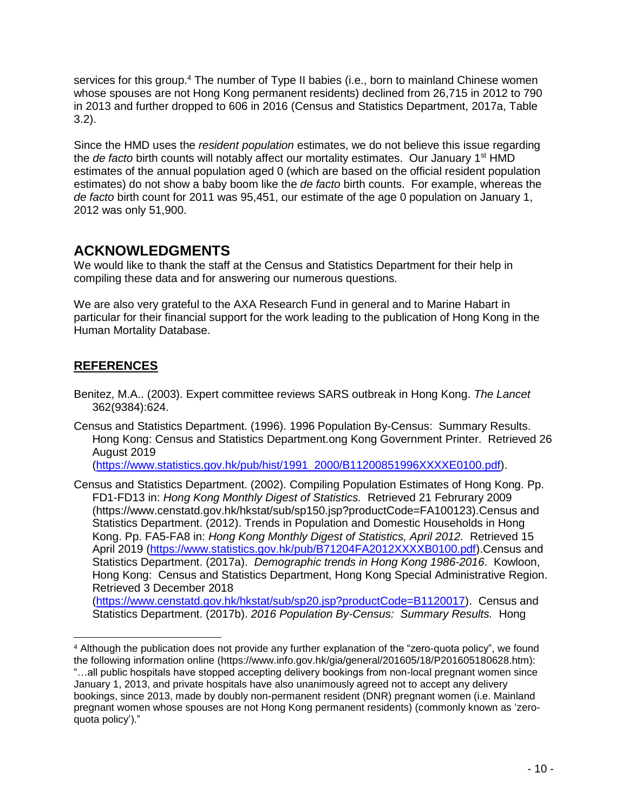services for this group.<sup>4</sup> The number of Type II babies (i.e., born to mainland Chinese women whose spouses are not Hong Kong permanent residents) declined from 26,715 in 2012 to 790 in 2013 and further dropped to 606 in 2016 (Census and Statistics Department, 2017a, Table 3.2).

Since the HMD uses the *resident population* estimates, we do not believe this issue regarding the *de facto* birth counts will notably affect our mortality estimates. Our January 1<sup>st</sup> HMD estimates of the annual population aged 0 (which are based on the official resident population estimates) do not show a baby boom like the *de facto* birth counts. For example, whereas the *de facto* birth count for 2011 was 95,451, our estimate of the age 0 population on January 1, 2012 was only 51,900.

# **ACKNOWLEDGMENTS**

We would like to thank the staff at the Census and Statistics Department for their help in compiling these data and for answering our numerous questions.

We are also very grateful to the AXA Research Fund in general and to Marine Habart in particular for their financial support for the work leading to the publication of Hong Kong in the Human Mortality Database.

## **REFERENCES**

- Benitez, M.A.. (2003). Expert committee reviews SARS outbreak in Hong Kong. *The Lancet* 362(9384):624.
- Census and Statistics Department. (1996). 1996 Population By-Census: Summary Results. Hong Kong: Census and Statistics Department.ong Kong Government Printer. Retrieved 26 August 2019

[\(https://www.statistics.gov.hk/pub/hist/1991\\_2000/B11200851996XXXXE0100.pdf\)](https://www.statistics.gov.hk/pub/hist/1991_2000/B11200851996XXXXE0100.pdf).

Census and Statistics Department. (2002). Compiling Population Estimates of Hong Kong. Pp. FD1-FD13 in: *Hong Kong Monthly Digest of Statistics.* Retrieved 21 Februrary 2009 (https://www.censtatd.gov.hk/hkstat/sub/sp150.jsp?productCode=FA100123).Census and Statistics Department. (2012). Trends in Population and Domestic Households in Hong Kong. Pp. FA5-FA8 in: *Hong Kong Monthly Digest of Statistics, April 2012.* Retrieved 15 April 2019 [\(https://www.statistics.gov.hk/pub/B71204FA2012XXXXB0100.pdf\)](https://www.statistics.gov.hk/pub/B71204FA2012XXXXB0100.pdf).Census and Statistics Department. (2017a). *Demographic trends in Hong Kong 1986-2016*. Kowloon, Hong Kong: Census and Statistics Department, Hong Kong Special Administrative Region. Retrieved 3 December 2018 [\(https://www.censtatd.gov.hk/hkstat/sub/sp20.jsp?productCode=B1120017\)](https://www.censtatd.gov.hk/hkstat/sub/sp20.jsp?productCode=B1120017). Census and

Statistics Department. (2017b). *2016 Population By-Census: Summary Results.* Hong

<sup>4</sup> Although the publication does not provide any further explanation of the "zero-quota policy", we found the following information online (https://www.info.gov.hk/gia/general/201605/18/P201605180628.htm): "…all public hospitals have stopped accepting delivery bookings from non-local pregnant women since January 1, 2013, and private hospitals have also unanimously agreed not to accept any delivery bookings, since 2013, made by doubly non-permanent resident (DNR) pregnant women (i.e. Mainland pregnant women whose spouses are not Hong Kong permanent residents) (commonly known as 'zeroquota policy')."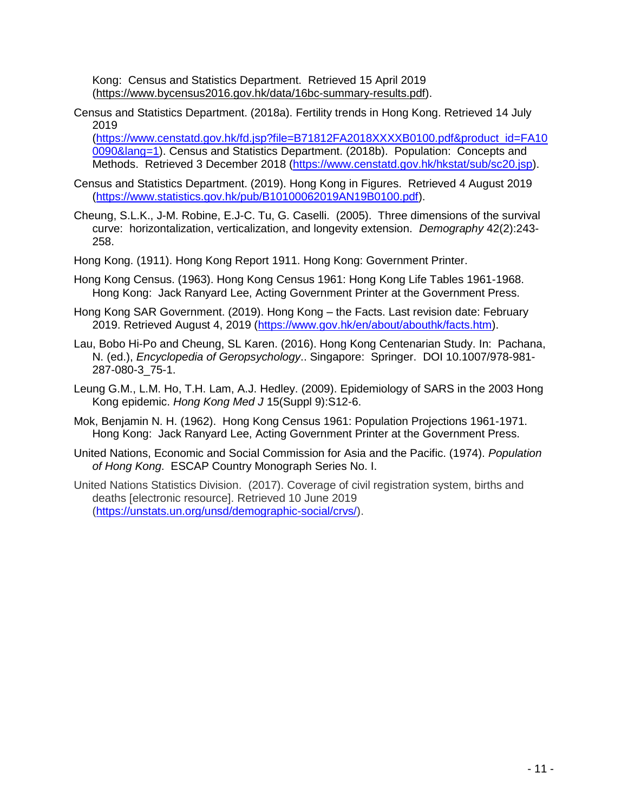Kong: Census and Statistics Department.Retrieved 15 April 2019 [\(https://www.bycensus2016.gov.hk/data/16bc-summary-results.pdf\)](https://www.bycensus2016.gov.hk/data/16bc-summary-results.pdf).

Census and Statistics Department. (2018a). Fertility trends in Hong Kong. Retrieved 14 July 2019

[\(https://www.censtatd.gov.hk/fd.jsp?file=B71812FA2018XXXXB0100.pdf&product\\_id=FA10](https://www.censtatd.gov.hk/fd.jsp?file=B71812FA2018XXXXB0100.pdf&product_id=FA100090&lang=1) [0090&lang=1\)](https://www.censtatd.gov.hk/fd.jsp?file=B71812FA2018XXXXB0100.pdf&product_id=FA100090&lang=1). Census and Statistics Department. (2018b). Population: Concepts and Methods. Retrieved 3 December 2018 [\(https://www.censtatd.gov.hk/hkstat/sub/sc20.jsp\)](https://www.censtatd.gov.hk/hkstat/sub/sc20.jsp).

- Census and Statistics Department. (2019). Hong Kong in Figures. Retrieved 4 August 2019 (https://www.statistics.gov.hk/pub/B10100062019AN19B0100.pdf).
- Cheung, S.L.K., J-M. Robine, E.J-C. Tu, G. Caselli. (2005). Three dimensions of the survival curve: horizontalization, verticalization, and longevity extension. *Demography* 42(2):243- 258.
- Hong Kong. (1911). Hong Kong Report 1911. Hong Kong: Government Printer.
- Hong Kong Census. (1963). Hong Kong Census 1961: Hong Kong Life Tables 1961-1968. Hong Kong: Jack Ranyard Lee, Acting Government Printer at the Government Press.
- Hong Kong SAR Government. (2019). Hong Kong the Facts. Last revision date: February 2019. Retrieved August 4, 2019 [\(https://www.gov.hk/en/about/abouthk/facts.htm\)](https://www.gov.hk/en/about/abouthk/facts.htm).
- Lau, Bobo Hi-Po and Cheung, SL Karen. (2016). Hong Kong Centenarian Study. In: Pachana, N. (ed.), *Encyclopedia of Geropsychology*.. Singapore: Springer. DOI 10.1007/978-981- 287-080-3\_75-1.
- Leung G.M., L.M. Ho, T.H. Lam, A.J. Hedley. (2009). Epidemiology of SARS in the 2003 Hong Kong epidemic. *Hong Kong Med J* 15(Suppl 9):S12-6.
- Mok, Benjamin N. H. (1962). Hong Kong Census 1961: Population Projections 1961-1971. Hong Kong: Jack Ranyard Lee, Acting Government Printer at the Government Press.
- United Nations, Economic and Social Commission for Asia and the Pacific. (1974). *Population of Hong Kong*. ESCAP Country Monograph Series No. I.
- United Nations Statistics Division. (2017). Coverage of civil registration system, births and deaths [electronic resource]. Retrieved 10 June 2019 [\(https://unstats.un.org/unsd/demographic-social/crvs/\)](https://unstats.un.org/unsd/demographic-social/crvs/).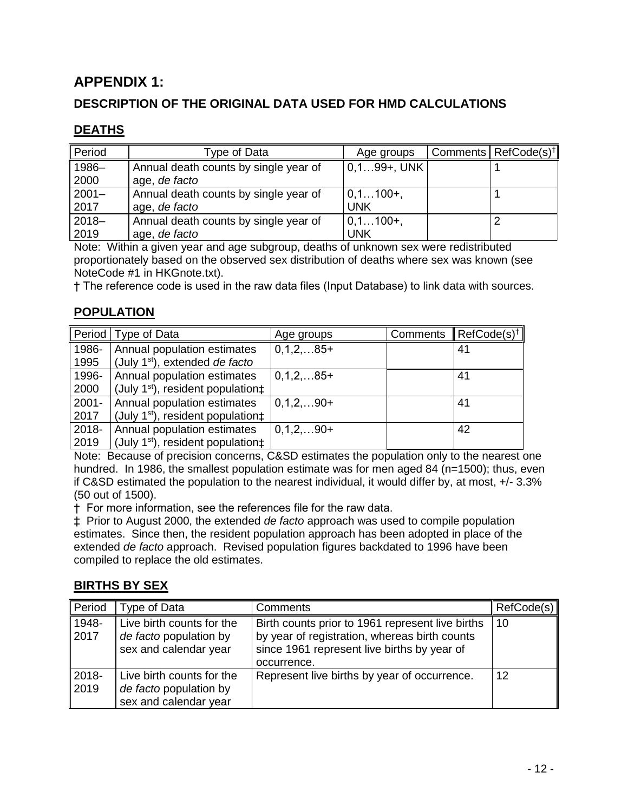# **APPENDIX 1:**

## **DESCRIPTION OF THE ORIGINAL DATA USED FOR HMD CALCULATIONS**

### **DEATHS**

| Period   | Type of Data                          | Age groups     | ' Comments   RefCode(s) <sup>†</sup> |
|----------|---------------------------------------|----------------|--------------------------------------|
| 1986-    | Annual death counts by single year of | $0,199+$ , UNK |                                      |
| 2000     | age, de facto                         |                |                                      |
| $2001 -$ | Annual death counts by single year of | $0, 1100+$     |                                      |
| 2017     | age, de facto                         | UNK            |                                      |
| $2018 -$ | Annual death counts by single year of | $0, 1100+$     |                                      |
| 2019     | age, de facto                         | UNK            |                                      |

Note: Within a given year and age subgroup, deaths of unknown sex were redistributed proportionately based on the observed sex distribution of deaths where sex was known (see NoteCode #1 in HKGnote.txt).

† The reference code is used in the raw data files (Input Database) to link data with sources.

## **POPULATION**

|          | Period   Type of Data                         | Age groups  | Comments | $\parallel$ RefCode(s) <sup>†</sup> |
|----------|-----------------------------------------------|-------------|----------|-------------------------------------|
| 1986-    | Annual population estimates                   | $0,1,2,85+$ |          | 41                                  |
| 1995     | (July 1st), extended de facto                 |             |          |                                     |
| 1996-    | Annual population estimates                   | $0,1,2,85+$ |          | 41                                  |
| 2000     | (July $1st$ ), resident population $\ddagger$ |             |          |                                     |
| $2001 -$ | Annual population estimates                   | $0,1,2,90+$ |          | 41                                  |
| 2017     | (July 1st), resident population $\ddagger$    |             |          |                                     |
| 2018-    | Annual population estimates                   | $0,1,2,90+$ |          | 42                                  |
| 2019     | (July $1st$ ), resident population $\pm$      |             |          |                                     |

Note: Because of precision concerns, C&SD estimates the population only to the nearest one hundred. In 1986, the smallest population estimate was for men aged 84 (n=1500); thus, even if C&SD estimated the population to the nearest individual, it would differ by, at most, +/- 3.3% (50 out of 1500).

† For more information, see the references file for the raw data.

‡ Prior to August 2000, the extended *de facto* approach was used to compile population estimates. Since then, the resident population approach has been adopted in place of the extended *de facto* approach. Revised population figures backdated to 1996 have been compiled to replace the old estimates.

#### **BIRTHS BY SEX**

| Period        | Type of Data                                                                 | Comments                                                                                                                                                        | RefCode(s) |
|---------------|------------------------------------------------------------------------------|-----------------------------------------------------------------------------------------------------------------------------------------------------------------|------------|
| 1948-<br>2017 | Live birth counts for the<br>de facto population by<br>sex and calendar year | Birth counts prior to 1961 represent live births<br>by year of registration, whereas birth counts<br>since 1961 represent live births by year of<br>occurrence. | 10         |
| 2018-<br>2019 | Live birth counts for the<br>de facto population by<br>sex and calendar year | Represent live births by year of occurrence.                                                                                                                    | 12         |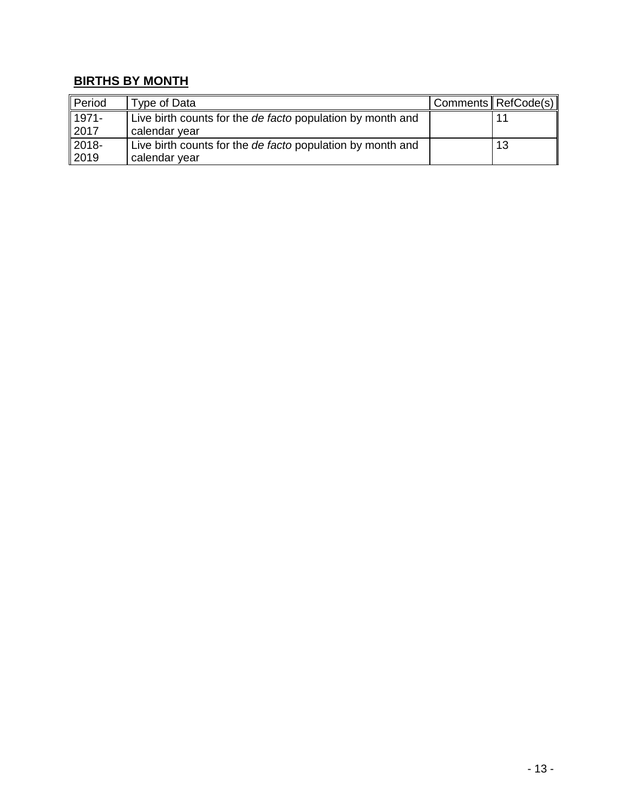# **BIRTHS BY MONTH**

| Period           | Type of Data                                               | Comments   RefCode(s) |
|------------------|------------------------------------------------------------|-----------------------|
| 1971-            | Live birth counts for the de facto population by month and | 11                    |
| 2017             | calendar year                                              |                       |
| 2018-            | Live birth counts for the de facto population by month and | 13                    |
| $\parallel$ 2019 | calendar year                                              |                       |